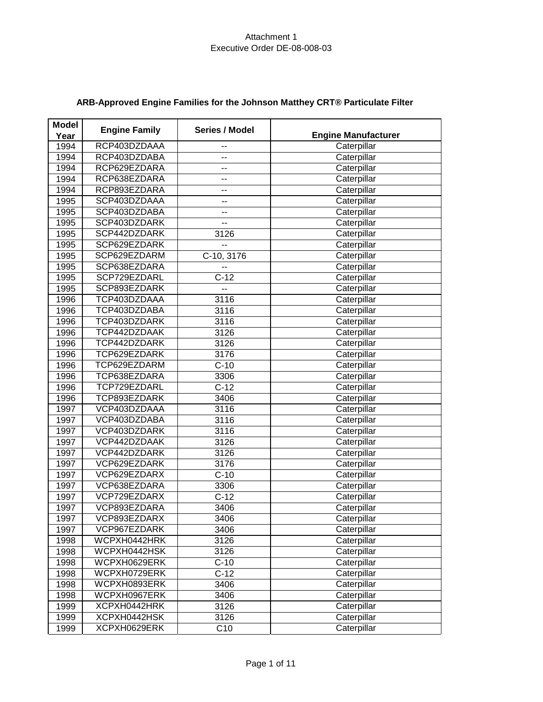| <b>Model</b> | <b>Engine Family</b> | Series / Model           |                            |
|--------------|----------------------|--------------------------|----------------------------|
| Year         |                      |                          | <b>Engine Manufacturer</b> |
| 1994         | RCP403DZDAAA         | --                       | Caterpillar                |
| 1994         | RCP403DZDABA         | --                       | Caterpillar                |
| 1994         | RCP629EZDARA         | --                       | Caterpillar                |
| 1994         | RCP638EZDARA         | --                       | Caterpillar                |
| 1994         | RCP893EZDARA         | $\overline{\phantom{a}}$ | Caterpillar                |
| 1995         | SCP403DZDAAA         | --                       | Caterpillar                |
| 1995         | SCP403DZDABA         | --                       | Caterpillar                |
| 1995         | SCP403DZDARK         | --                       | Caterpillar                |
| 1995         | SCP442DZDARK         | 3126                     | Caterpillar                |
| 1995         | SCP629EZDARK         | --                       | Caterpillar                |
| 1995         | SCP629EZDARM         | C-10, 3176               | Caterpillar                |
| 1995         | SCP638EZDARA         | -−                       | Caterpillar                |
| 1995         | SCP729EZDARL         | $C-12$                   | Caterpillar                |
| 1995         | SCP893EZDARK         | --                       | Caterpillar                |
| 1996         | TCP403DZDAAA         | 3116                     | Caterpillar                |
| 1996         | TCP403DZDABA         | 3116                     | Caterpillar                |
| 1996         | TCP403DZDARK         | 3116                     | Caterpillar                |
| 1996         | TCP442DZDAAK         | 3126                     | Caterpillar                |
| 1996         | TCP442DZDARK         | 3126                     | Caterpillar                |
| 1996         | TCP629EZDARK         | 3176                     | Caterpillar                |
| 1996         | TCP629EZDARM         | $C-10$                   | Caterpillar                |
| 1996         | TCP638EZDARA         | 3306                     | Caterpillar                |
| 1996         | TCP729EZDARL         | $C-12$                   | Caterpillar                |
| 1996         | TCP893EZDARK         | 3406                     | Caterpillar                |
| 1997         | VCP403DZDAAA         | 3116                     | Caterpillar                |
| 1997         | VCP403DZDABA         | 3116                     | Caterpillar                |
| 1997         | VCP403DZDARK         | 3116                     | Caterpillar                |
| 1997         | VCP442DZDAAK         | 3126                     | Caterpillar                |
| 1997         | VCP442DZDARK         | 3126                     | Caterpillar                |
| 1997         | VCP629EZDARK         | 3176                     | Caterpillar                |
| 1997         | VCP629EZDARX         | $C-10$                   | Caterpillar                |
| 1997         | VCP638EZDARA         | 3306                     | Caterpillar                |
| 1997         | VCP729EZDARX         | $C-12$                   | Caterpillar                |
| 1997         | VCP893EZDARA         | 3406                     | Caterpillar                |
| 1997         | VCP893EZDARX         | 3406                     | Caterpillar                |
| 1997         | VCP967EZDARK         | 3406                     | Caterpillar                |
| 1998         | WCPXH0442HRK         | 3126                     | Caterpillar                |
| 1998         | WCPXH0442HSK         | 3126                     | Caterpillar                |
| 1998         | WCPXH0629ERK         | $C-10$                   | Caterpillar                |
| 1998         | WCPXH0729ERK         | $C-12$                   | Caterpillar                |
| 1998         | WCPXH0893ERK         | 3406                     | Caterpillar                |
| 1998         | WCPXH0967ERK         | 3406                     | Caterpillar                |
| 1999         | XCPXH0442HRK         | 3126                     | Caterpillar                |
| 1999         | XCPXH0442HSK         | 3126                     | Caterpillar                |
| 1999         | XCPXH0629ERK         | C10                      | Caterpillar                |

# **ARB-Approved Engine Families for the Johnson Matthey CRT® Particulate Filter**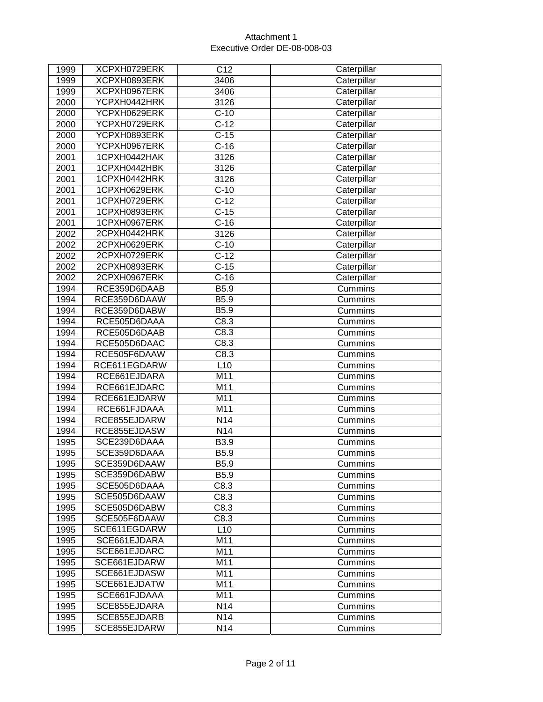| 1999 | XCPXH0729ERK | C12             | Caterpillar |
|------|--------------|-----------------|-------------|
| 1999 | XCPXH0893ERK | 3406            | Caterpillar |
| 1999 | XCPXH0967ERK | 3406            | Caterpillar |
| 2000 | YCPXH0442HRK | 3126            | Caterpillar |
| 2000 | YCPXH0629ERK | $C-10$          | Caterpillar |
| 2000 | YCPXH0729ERK | $C-12$          | Caterpillar |
| 2000 | YCPXH0893ERK | $C-15$          | Caterpillar |
| 2000 | YCPXH0967ERK | $C-16$          | Caterpillar |
| 2001 | 1CPXH0442HAK | 3126            | Caterpillar |
| 2001 | 1CPXH0442HBK | 3126            | Caterpillar |
| 2001 | 1CPXH0442HRK | 3126            | Caterpillar |
| 2001 | 1CPXH0629ERK | $C-10$          | Caterpillar |
| 2001 | 1CPXH0729ERK | $C-12$          | Caterpillar |
| 2001 | 1CPXH0893ERK | $C-15$          | Caterpillar |
| 2001 | 1CPXH0967ERK | $C-16$          | Caterpillar |
| 2002 | 2CPXH0442HRK | 3126            | Caterpillar |
| 2002 | 2CPXH0629ERK | $C-10$          | Caterpillar |
| 2002 | 2CPXH0729ERK | $C-12$          | Caterpillar |
| 2002 | 2CPXH0893ERK | $C-15$          | Caterpillar |
| 2002 | 2CPXH0967ERK | $C-16$          | Caterpillar |
| 1994 | RCE359D6DAAB | B5.9            | Cummins     |
| 1994 | RCE359D6DAAW | B5.9            | Cummins     |
| 1994 | RCE359D6DABW | B5.9            | Cummins     |
| 1994 | RCE505D6DAAA | C8.3            | Cummins     |
| 1994 | RCE505D6DAAB | C8.3            | Cummins     |
| 1994 | RCE505D6DAAC | C8.3            | Cummins     |
| 1994 | RCE505F6DAAW | C8.3            | Cummins     |
| 1994 | RCE611EGDARW | L10             | Cummins     |
| 1994 | RCE661EJDARA | M11             | Cummins     |
| 1994 | RCE661EJDARC | M11             | Cummins     |
| 1994 | RCE661EJDARW | M11             | Cummins     |
| 1994 | RCE661FJDAAA | M11             | Cummins     |
| 1994 | RCE855EJDARW | N <sub>14</sub> | Cummins     |
| 1994 | RCE855EJDASW | N14             | Cummins     |
| 1995 | SCE239D6DAAA | B3.9            | Cummins     |
| 1995 | SCE359D6DAAA | B5.9            | Cummins     |
| 1995 | SCE359D6DAAW | B5.9            | Cummins     |
| 1995 | SCE359D6DABW | B5.9            | Cummins     |
| 1995 | SCE505D6DAAA | C8.3            | Cummins     |
| 1995 | SCE505D6DAAW | C8.3            | Cummins     |
| 1995 | SCE505D6DABW | C8.3            | Cummins     |
| 1995 | SCE505F6DAAW | C8.3            | Cummins     |
| 1995 | SCE611EGDARW | L10             | Cummins     |
| 1995 | SCE661EJDARA | M11             | Cummins     |
| 1995 | SCE661EJDARC | M11             | Cummins     |
| 1995 | SCE661EJDARW | M11             | Cummins     |
| 1995 | SCE661EJDASW | M11             | Cummins     |
| 1995 | SCE661EJDATW | M11             | Cummins     |
| 1995 | SCE661FJDAAA | M11             | Cummins     |
| 1995 | SCE855EJDARA | N14             | Cummins     |
| 1995 | SCE855EJDARB | N14             | Cummins     |
| 1995 | SCE855EJDARW | N <sub>14</sub> | Cummins     |
|      |              |                 |             |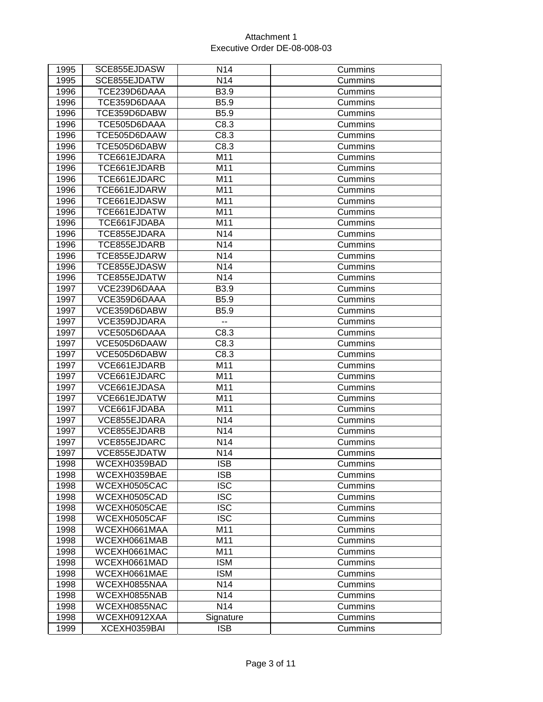| 1995 | SCE855EJDASW | N <sub>14</sub>         | Cummins |
|------|--------------|-------------------------|---------|
| 1995 | SCE855EJDATW | N14                     | Cummins |
| 1996 | TCE239D6DAAA | B3.9                    | Cummins |
| 1996 | TCE359D6DAAA | B5.9                    | Cummins |
| 1996 | TCE359D6DABW | B5.9                    | Cummins |
| 1996 | TCE505D6DAAA | C8.3                    | Cummins |
| 1996 | TCE505D6DAAW | C8.3                    | Cummins |
| 1996 | TCE505D6DABW | C8.3                    | Cummins |
| 1996 | TCE661EJDARA | M11                     | Cummins |
| 1996 | TCE661EJDARB | M11                     | Cummins |
| 1996 | TCE661EJDARC | M11                     | Cummins |
| 1996 | TCE661EJDARW | M11                     | Cummins |
| 1996 | TCE661EJDASW | M11                     | Cummins |
| 1996 | TCE661EJDATW | M11                     | Cummins |
| 1996 | TCE661FJDABA | M11                     | Cummins |
| 1996 | TCE855EJDARA | N <sub>14</sub>         | Cummins |
| 1996 | TCE855EJDARB | N14                     | Cummins |
| 1996 | TCE855EJDARW | N14                     | Cummins |
| 1996 | TCE855EJDASW | N14                     | Cummins |
| 1996 | TCE855EJDATW | N14                     | Cummins |
| 1997 | VCE239D6DAAA | B3.9                    | Cummins |
| 1997 | VCE359D6DAAA | B5.9                    | Cummins |
| 1997 | VCE359D6DABW | B <sub>5.9</sub>        | Cummins |
| 1997 | VCE359DJDARA | --                      | Cummins |
| 1997 | VCE505D6DAAA | C8.3                    | Cummins |
| 1997 | VCE505D6DAAW | C8.3                    | Cummins |
| 1997 | VCE505D6DABW | C8.3                    | Cummins |
| 1997 | VCE661EJDARB | M11                     | Cummins |
| 1997 | VCE661EJDARC | M11                     | Cummins |
| 1997 | VCE661EJDASA | M11                     | Cummins |
| 1997 | VCE661EJDATW | M11                     | Cummins |
| 1997 | VCE661FJDABA | M11                     | Cummins |
| 1997 | VCE855EJDARA | N <sub>14</sub>         | Cummins |
| 1997 | VCE855EJDARB | N14                     | Cummins |
| 1997 | VCE855EJDARC | N14                     | Cummins |
| 1997 | VCE855EJDATW | N14                     | Cummins |
| 1998 | WCEXH0359BAD | $\overline{\text{ISB}}$ | Cummins |
| 1998 | WCEXH0359BAE | <b>ISB</b>              | Cummins |
| 1998 | WCEXH0505CAC | <b>ISC</b>              | Cummins |
| 1998 | WCEXH0505CAD | <b>ISC</b>              | Cummins |
| 1998 | WCEXH0505CAE | <b>ISC</b>              | Cummins |
| 1998 | WCEXH0505CAF | <b>ISC</b>              | Cummins |
| 1998 | WCEXH0661MAA | M11                     | Cummins |
| 1998 | WCEXH0661MAB | M11                     | Cummins |
| 1998 | WCEXH0661MAC | M11                     | Cummins |
| 1998 | WCEXH0661MAD | <b>ISM</b>              | Cummins |
| 1998 | WCEXH0661MAE | <b>ISM</b>              | Cummins |
| 1998 | WCEXH0855NAA | N14                     | Cummins |
| 1998 | WCEXH0855NAB | N14                     | Cummins |
| 1998 | WCEXH0855NAC | N14                     | Cummins |
| 1998 | WCEXH0912XAA | Signature               | Cummins |
| 1999 | XCEXH0359BAI | <b>ISB</b>              | Cummins |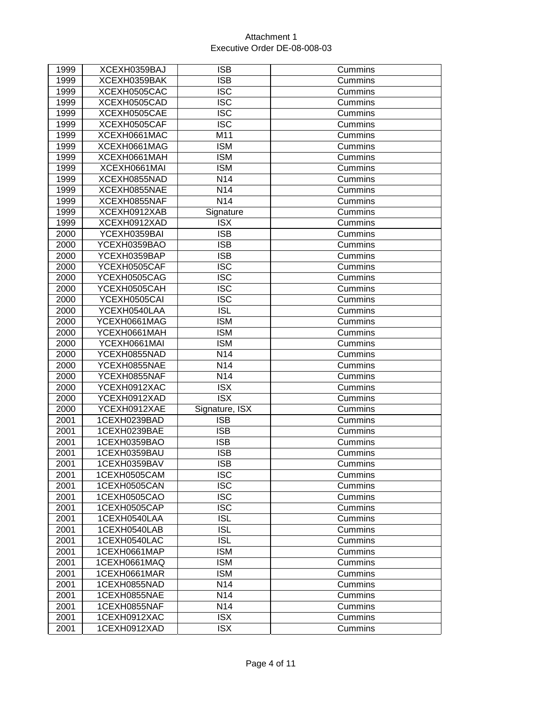| 1999 | XCEXH0359BAJ | <b>ISB</b>              | Cummins |
|------|--------------|-------------------------|---------|
| 1999 | XCEXH0359BAK | <b>ISB</b>              | Cummins |
| 1999 | XCEXH0505CAC | <b>ISC</b>              | Cummins |
| 1999 | XCEXH0505CAD | <b>ISC</b>              | Cummins |
| 1999 | XCEXH0505CAE | <b>ISC</b>              | Cummins |
| 1999 | XCEXH0505CAF | <b>ISC</b>              | Cummins |
| 1999 | XCEXH0661MAC | M11                     | Cummins |
| 1999 | XCEXH0661MAG | <b>ISM</b>              | Cummins |
| 1999 | XCEXH0661MAH | <b>ISM</b>              | Cummins |
| 1999 | XCEXH0661MAI | <b>ISM</b>              | Cummins |
| 1999 | XCEXH0855NAD | N14                     | Cummins |
| 1999 | XCEXH0855NAE | N <sub>14</sub>         | Cummins |
| 1999 | XCEXH0855NAF | N <sub>14</sub>         | Cummins |
| 1999 | XCEXH0912XAB | Signature               | Cummins |
| 1999 | XCEXH0912XAD | <b>ISX</b>              | Cummins |
| 2000 | YCEXH0359BAI | <b>ISB</b>              | Cummins |
| 2000 | YCEXH0359BAO | <b>ISB</b>              | Cummins |
| 2000 | YCEXH0359BAP | <b>ISB</b>              | Cummins |
| 2000 | YCEXH0505CAF | <b>ISC</b>              | Cummins |
| 2000 | YCEXH0505CAG | <b>ISC</b>              | Cummins |
| 2000 | YCEXH0505CAH | <b>ISC</b>              | Cummins |
| 2000 | YCEXH0505CAI | <b>ISC</b>              | Cummins |
| 2000 | YCEXH0540LAA | <b>ISL</b>              | Cummins |
| 2000 | YCEXH0661MAG | <b>ISM</b>              | Cummins |
| 2000 | YCEXH0661MAH | <b>ISM</b>              | Cummins |
| 2000 | YCEXH0661MAI | <b>ISM</b>              | Cummins |
| 2000 | YCEXH0855NAD | N14                     | Cummins |
| 2000 | YCEXH0855NAE | N14                     | Cummins |
| 2000 | YCEXH0855NAF | N14                     | Cummins |
| 2000 | YCEXH0912XAC | <b>ISX</b>              | Cummins |
| 2000 | YCEXH0912XAD | <b>ISX</b>              | Cummins |
| 2000 | YCEXH0912XAE | Signature, ISX          | Cummins |
| 2001 | 1CEXH0239BAD | <b>ISB</b>              | Cummins |
| 2001 | 1CEXH0239BAE | <b>ISB</b>              | Cummins |
| 2001 | 1CEXH0359BAO | <b>ISB</b>              | Cummins |
| 2001 | 1CEXH0359BAU | <b>ISB</b>              | Cummins |
| 2001 | 1CEXH0359BAV | $\overline{\text{ISB}}$ | Cummins |
| 2001 | 1CEXH0505CAM | <b>ISC</b>              | Cummins |
| 2001 | 1CEXH0505CAN | <b>ISC</b>              | Cummins |
| 2001 | 1CEXH0505CAO | <b>ISC</b>              | Cummins |
| 2001 | 1CEXH0505CAP | <b>ISC</b>              | Cummins |
| 2001 | 1CEXH0540LAA | <b>ISL</b>              | Cummins |
| 2001 | 1CEXH0540LAB | <b>ISL</b>              | Cummins |
| 2001 | 1CEXH0540LAC | <b>ISL</b>              | Cummins |
| 2001 | 1CEXH0661MAP | <b>ISM</b>              | Cummins |
| 2001 | 1CEXH0661MAQ | <b>ISM</b>              | Cummins |
| 2001 | 1CEXH0661MAR | <b>ISM</b>              | Cummins |
| 2001 | 1CEXH0855NAD | N14                     | Cummins |
| 2001 | 1CEXH0855NAE | N14                     | Cummins |
| 2001 | 1CEXH0855NAF | N14                     | Cummins |
| 2001 | 1CEXH0912XAC | <b>ISX</b>              | Cummins |
| 2001 | 1CEXH0912XAD | <b>ISX</b>              | Cummins |
|      |              |                         |         |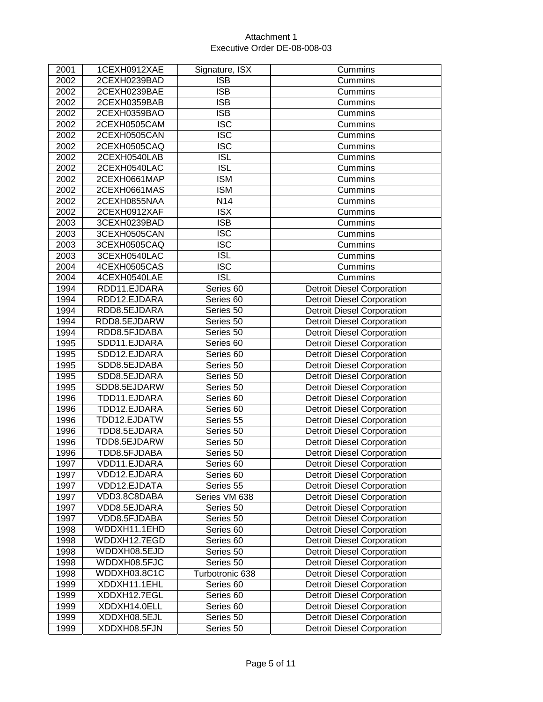| 2001 | 1CEXH0912XAE | Signature, ISX          | Cummins                           |
|------|--------------|-------------------------|-----------------------------------|
| 2002 | 2CEXH0239BAD | <b>ISB</b>              | Cummins                           |
| 2002 | 2CEXH0239BAE | <b>ISB</b>              | Cummins                           |
| 2002 | 2CEXH0359BAB | <b>ISB</b>              | Cummins                           |
| 2002 | 2CEXH0359BAO | <b>ISB</b>              | Cummins                           |
| 2002 | 2CEXH0505CAM | <b>ISC</b>              | Cummins                           |
| 2002 | 2CEXH0505CAN | $\overline{\text{ISC}}$ | Cummins                           |
| 2002 | 2CEXH0505CAQ | <b>ISC</b>              | Cummins                           |
| 2002 | 2CEXH0540LAB | <b>ISL</b>              | Cummins                           |
| 2002 | 2CEXH0540LAC | $\overline{ISL}$        | Cummins                           |
| 2002 | 2CEXH0661MAP | <b>ISM</b>              | Cummins                           |
| 2002 | 2CEXH0661MAS | <b>ISM</b>              | Cummins                           |
| 2002 | 2CEXH0855NAA | N <sub>14</sub>         | Cummins                           |
| 2002 | 2CEXH0912XAF | <b>ISX</b>              | Cummins                           |
| 2003 | 3CEXH0239BAD | $\overline{\text{IB}}$  | Cummins                           |
| 2003 | 3CEXH0505CAN | <b>ISC</b>              | Cummins                           |
| 2003 | 3CEXH0505CAQ | $\overline{\text{ISC}}$ | Cummins                           |
| 2003 | 3CEXH0540LAC | <b>ISL</b>              | Cummins                           |
| 2004 | 4CEXH0505CAS | <b>ISC</b>              | Cummins                           |
| 2004 | 4CEXH0540LAE | $\overline{ISL}$        | Cummins                           |
| 1994 | RDD11.EJDARA | Series 60               | <b>Detroit Diesel Corporation</b> |
| 1994 | RDD12.EJDARA | Series 60               | <b>Detroit Diesel Corporation</b> |
| 1994 | RDD8.5EJDARA | Series 50               | <b>Detroit Diesel Corporation</b> |
| 1994 | RDD8.5EJDARW | Series 50               | <b>Detroit Diesel Corporation</b> |
| 1994 | RDD8.5FJDABA | Series 50               | <b>Detroit Diesel Corporation</b> |
| 1995 | SDD11.EJDARA | Series 60               | <b>Detroit Diesel Corporation</b> |
| 1995 | SDD12.EJDARA | Series 60               | <b>Detroit Diesel Corporation</b> |
| 1995 | SDD8.5EJDABA | Series 50               | <b>Detroit Diesel Corporation</b> |
| 1995 | SDD8.5EJDARA | Series 50               | <b>Detroit Diesel Corporation</b> |
| 1995 | SDD8.5EJDARW | Series 50               | <b>Detroit Diesel Corporation</b> |
| 1996 | TDD11.EJDARA | Series 60               | <b>Detroit Diesel Corporation</b> |
| 1996 | TDD12.EJDARA | Series 60               | <b>Detroit Diesel Corporation</b> |
| 1996 | TDD12.EJDATW | Series 55               | <b>Detroit Diesel Corporation</b> |
| 1996 | TDD8.5EJDARA | Series 50               | <b>Detroit Diesel Corporation</b> |
| 1996 | TDD8.5EJDARW | Series 50               | <b>Detroit Diesel Corporation</b> |
| 1996 | TDD8.5FJDABA | Series 50               | <b>Detroit Diesel Corporation</b> |
| 1997 | VDD11.EJDARA | Series 60               | <b>Detroit Diesel Corporation</b> |
| 1997 | VDD12.EJDARA | Series 60               | <b>Detroit Diesel Corporation</b> |
| 1997 | VDD12.EJDATA | Series 55               | <b>Detroit Diesel Corporation</b> |
| 1997 | VDD3.8C8DABA | Series VM 638           | <b>Detroit Diesel Corporation</b> |
| 1997 | VDD8.5EJDARA | Series 50               | <b>Detroit Diesel Corporation</b> |
| 1997 | VDD8.5FJDABA | Series 50               | <b>Detroit Diesel Corporation</b> |
| 1998 | WDDXH11.1EHD | Series 60               | <b>Detroit Diesel Corporation</b> |
| 1998 | WDDXH12.7EGD | Series 60               | <b>Detroit Diesel Corporation</b> |
| 1998 | WDDXH08.5EJD | Series 50               | <b>Detroit Diesel Corporation</b> |
| 1998 | WDDXH08.5FJC | Series 50               | <b>Detroit Diesel Corporation</b> |
| 1998 | WDDXH03.8C1C | Turbotronic 638         | <b>Detroit Diesel Corporation</b> |
| 1999 | XDDXH11.1EHL | Series 60               | <b>Detroit Diesel Corporation</b> |
| 1999 | XDDXH12.7EGL | Series 60               | <b>Detroit Diesel Corporation</b> |
| 1999 | XDDXH14.0ELL | Series 60               | <b>Detroit Diesel Corporation</b> |
| 1999 | XDDXH08.5EJL | Series 50               | <b>Detroit Diesel Corporation</b> |
| 1999 | XDDXH08.5FJN | Series 50               | <b>Detroit Diesel Corporation</b> |
|      |              |                         |                                   |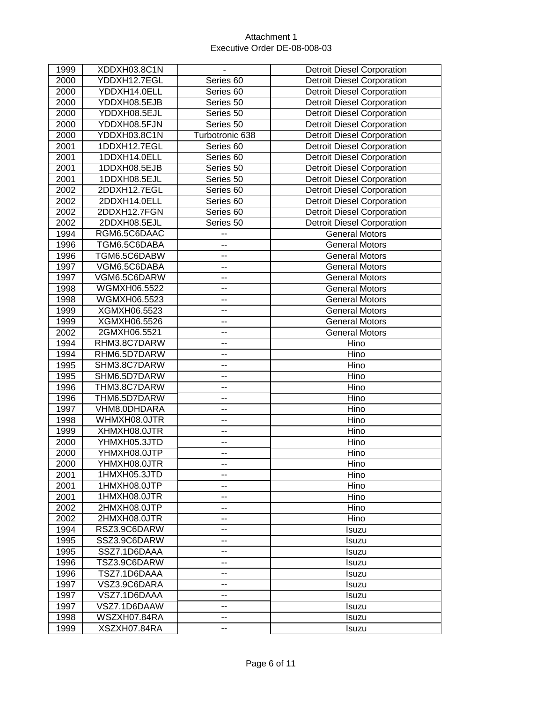| 1999 | XDDXH03.8C1N | $\blacksquare$           | <b>Detroit Diesel Corporation</b> |
|------|--------------|--------------------------|-----------------------------------|
| 2000 | YDDXH12.7EGL | Series 60                | <b>Detroit Diesel Corporation</b> |
| 2000 | YDDXH14.0ELL | Series 60                | <b>Detroit Diesel Corporation</b> |
| 2000 | YDDXH08.5EJB | Series 50                | <b>Detroit Diesel Corporation</b> |
| 2000 | YDDXH08.5EJL | Series 50                | <b>Detroit Diesel Corporation</b> |
| 2000 | YDDXH08.5FJN | Series 50                | <b>Detroit Diesel Corporation</b> |
| 2000 | YDDXH03.8C1N | Turbotronic 638          | <b>Detroit Diesel Corporation</b> |
| 2001 | 1DDXH12.7EGL | Series 60                | <b>Detroit Diesel Corporation</b> |
| 2001 | 1DDXH14.0ELL | Series 60                | <b>Detroit Diesel Corporation</b> |
| 2001 | 1DDXH08.5EJB | Series 50                | <b>Detroit Diesel Corporation</b> |
| 2001 | 1DDXH08.5EJL | Series 50                | <b>Detroit Diesel Corporation</b> |
| 2002 | 2DDXH12.7EGL | Series 60                | <b>Detroit Diesel Corporation</b> |
| 2002 | 2DDXH14.0ELL | Series 60                | <b>Detroit Diesel Corporation</b> |
| 2002 | 2DDXH12.7FGN | Series 60                | <b>Detroit Diesel Corporation</b> |
| 2002 | 2DDXH08.5EJL | Series 50                | <b>Detroit Diesel Corporation</b> |
| 1994 | RGM6.5C6DAAC | --                       | <b>General Motors</b>             |
| 1996 | TGM6.5C6DABA | --                       | <b>General Motors</b>             |
| 1996 | TGM6.5C6DABW | --                       | <b>General Motors</b>             |
| 1997 | VGM6.5C6DABA | $\overline{\phantom{a}}$ | <b>General Motors</b>             |
| 1997 | VGM6.5C6DARW | ۰.                       | <b>General Motors</b>             |
| 1998 | WGMXH06.5522 | --                       | <b>General Motors</b>             |
| 1998 | WGMXH06.5523 | --                       | <b>General Motors</b>             |
| 1999 | XGMXH06.5523 | ۰.                       | <b>General Motors</b>             |
| 1999 | XGMXH06.5526 | --                       | <b>General Motors</b>             |
| 2002 | 2GMXH06.5521 | --                       | <b>General Motors</b>             |
| 1994 | RHM3.8C7DARW | --                       | Hino                              |
| 1994 | RHM6.5D7DARW | --                       | Hino                              |
| 1995 | SHM3.8C7DARW | Ξ.                       | Hino                              |
| 1995 | SHM6.5D7DARW | --                       | Hino                              |
| 1996 | THM3.8C7DARW | --                       | Hino                              |
| 1996 | THM6.5D7DARW | $\overline{\phantom{a}}$ | Hino                              |
| 1997 | VHM8.0DHDARA | --                       | Hino                              |
| 1998 | WHMXH08.0JTR | --                       | Hino                              |
| 1999 | XHMXH08.0JTR | --                       | Hino                              |
| 2000 | YHMXH05.3JTD | --                       | Hino                              |
| 2000 | YHMXH08.0JTP | --                       | Hino                              |
| 2000 | YHMXH08.0JTR | --                       | Hino                              |
| 2001 | 1HMXH05.3JTD | --                       | Hino                              |
| 2001 | 1HMXH08.0JTP | $\overline{\phantom{a}}$ | Hino                              |
| 2001 | 1HMXH08.0JTR | ۰.                       | Hino                              |
| 2002 | 2HMXH08.0JTP | --                       | Hino                              |
| 2002 | 2HMXH08.0JTR | --                       | Hino                              |
| 1994 | RSZ3.9C6DARW | --                       | Isuzu                             |
| 1995 | SSZ3.9C6DARW | --                       | Isuzu                             |
| 1995 | SSZ7.1D6DAAA | --                       | Isuzu                             |
| 1996 | TSZ3.9C6DARW | --                       | Isuzu                             |
| 1996 | TSZ7.1D6DAAA | --                       | Isuzu                             |
| 1997 | VSZ3.9C6DARA | --                       | Isuzu                             |
| 1997 | VSZ7.1D6DAAA | --                       | Isuzu                             |
| 1997 | VSZ7.1D6DAAW | --                       | <b>Isuzu</b>                      |
| 1998 | WSZXH07.84RA | --                       | Isuzu                             |
| 1999 | XSZXH07.84RA | --                       | Isuzu                             |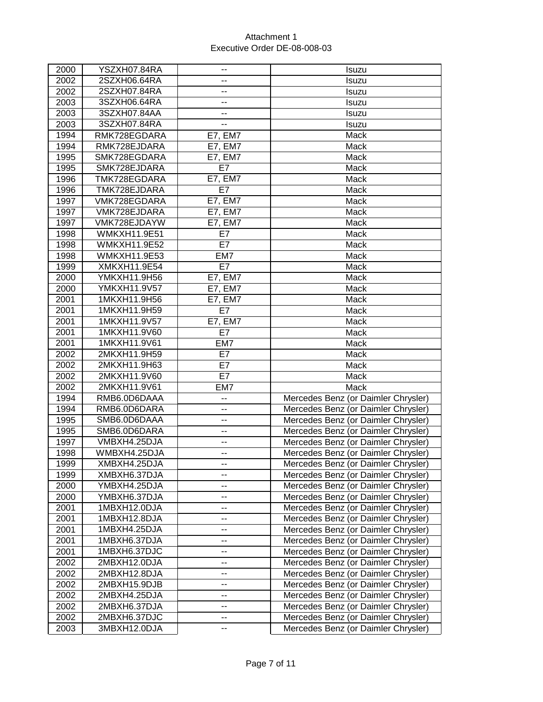| 2000         | YSZXH07.84RA                 |                                                      | Isuzu                                                                      |
|--------------|------------------------------|------------------------------------------------------|----------------------------------------------------------------------------|
| 2002         | 2SZXH06.64RA                 | --                                                   | Isuzu                                                                      |
| 2002         | 2SZXH07.84RA                 | $\overline{\phantom{a}}$                             | Isuzu                                                                      |
| 2003         | 3SZXH06.64RA                 | --                                                   | Isuzu                                                                      |
| 2003         | 3SZXH07.84AA                 | --                                                   | Isuzu                                                                      |
| 2003         | 3SZXH07.84RA                 | $-$                                                  | Isuzu                                                                      |
| 1994         | RMK728EGDARA                 | <b>E7, EM7</b>                                       | Mack                                                                       |
| 1994         | RMK728EJDARA                 | E7, EM7                                              | Mack                                                                       |
| 1995         | SMK728EGDARA                 | E7, EM7                                              | Mack                                                                       |
| 1995         | SMK728EJDARA                 | E7                                                   | Mack                                                                       |
| 1996         | TMK728EGDARA                 | E7, EM7                                              | Mack                                                                       |
| 1996         | TMK728EJDARA                 | E7                                                   | Mack                                                                       |
| 1997         | VMK728EGDARA                 | <b>E7, EM7</b>                                       | Mack                                                                       |
| 1997         | VMK728EJDARA                 | <b>E7, EM7</b>                                       | Mack                                                                       |
| 1997         | VMK728EJDAYW                 | E7, EM7                                              | Mack                                                                       |
| 1998         | <b>WMKXH11.9E51</b>          | E7                                                   | Mack                                                                       |
| 1998         | <b>WMKXH11.9E52</b>          | E7                                                   | Mack                                                                       |
| 1998         | WMKXH11.9E53                 | EM7                                                  | Mack                                                                       |
| 1999         | XMKXH11.9E54                 | E7                                                   | Mack                                                                       |
| 2000         | YMKXH11.9H56                 | $E7, \overline{EM7}$                                 | Mack                                                                       |
| 2000         | YMKXH11.9V57                 | E7, EM7                                              | Mack                                                                       |
| 2001         | 1MKXH11.9H56                 | E7, EMT                                              | Mack                                                                       |
| 2001         | 1MKXH11.9H59                 | E7                                                   | Mack                                                                       |
| 2001         | 1MKXH11.9V57                 | <b>E7, EM7</b>                                       | Mack                                                                       |
| 2001         | 1MKXH11.9V60                 | E7                                                   | Mack                                                                       |
| 2001         | 1MKXH11.9V61                 | EM7                                                  | Mack                                                                       |
| 2002         | 2MKXH11.9H59                 | E7                                                   | Mack                                                                       |
| 2002         | 2MKXH11.9H63                 | E7                                                   | Mack                                                                       |
| 2002         | 2MKXH11.9V60                 | E7                                                   | Mack                                                                       |
| 2002         | 2MKXH11.9V61                 | EM7                                                  | Mack                                                                       |
| 1994         | RMB6.0D6DAAA                 | $\overline{a}$                                       | Mercedes Benz (or Daimler Chrysler)                                        |
| 1994         | RMB6.0D6DARA                 | --                                                   | Mercedes Benz (or Daimler Chrysler)                                        |
| 1995         | SMB6.0D6DAAA                 | $\overline{a}$                                       | Mercedes Benz (or Daimler Chrysler)                                        |
| 1995         | SMB6.0D6DARA                 | ۰.                                                   | Mercedes Benz (or Daimler Chrysler)                                        |
| 1997         | VMBXH4.25DJA                 | $\overline{\phantom{a}}$                             | Mercedes Benz (or Daimler Chrysler)                                        |
| 1998         | WMBXH4.25DJA                 | --                                                   | Mercedes Benz (or Daimler Chrysler)                                        |
| 1999         | XMBXH4.25DJA                 | --                                                   | Mercedes Benz (or Daimler Chrysler)                                        |
| 1999         | XMBXH6.37DJA                 | --                                                   | Mercedes Benz (or Daimler Chrysler)                                        |
| 2000         | YMBXH4.25DJA                 | --                                                   | Mercedes Benz (or Daimler Chrysler)                                        |
| 2000         | YMBXH6.37DJA                 | --                                                   | Mercedes Benz (or Daimler Chrysler)                                        |
| 2001         | 1MBXH12.0DJA                 | --                                                   | Mercedes Benz (or Daimler Chrysler)                                        |
| 2001         | 1MBXH12.8DJA<br>1MBXH4.25DJA | -−                                                   | Mercedes Benz (or Daimler Chrysler)                                        |
| 2001         |                              | --                                                   | Mercedes Benz (or Daimler Chrysler)                                        |
| 2001         | 1MBXH6.37DJA<br>1MBXH6.37DJC | $\overline{\phantom{a}}$<br>$\overline{\phantom{a}}$ | Mercedes Benz (or Daimler Chrysler)                                        |
| 2001<br>2002 | 2MBXH12.0DJA                 | --                                                   | Mercedes Benz (or Daimler Chrysler)                                        |
| 2002         | 2MBXH12.8DJA                 | --                                                   | Mercedes Benz (or Daimler Chrysler)                                        |
| 2002         | 2MBXH15.9DJB                 | --                                                   | Mercedes Benz (or Daimler Chrysler)<br>Mercedes Benz (or Daimler Chrysler) |
| 2002         | 2MBXH4.25DJA                 | --                                                   | Mercedes Benz (or Daimler Chrysler)                                        |
| 2002         | 2MBXH6.37DJA                 |                                                      | Mercedes Benz (or Daimler Chrysler)                                        |
| 2002         | 2MBXH6.37DJC                 | --<br>--                                             | Mercedes Benz (or Daimler Chrysler)                                        |
|              | 3MBXH12.0DJA                 | --                                                   | Mercedes Benz (or Daimler Chrysler)                                        |
| 2003         |                              |                                                      |                                                                            |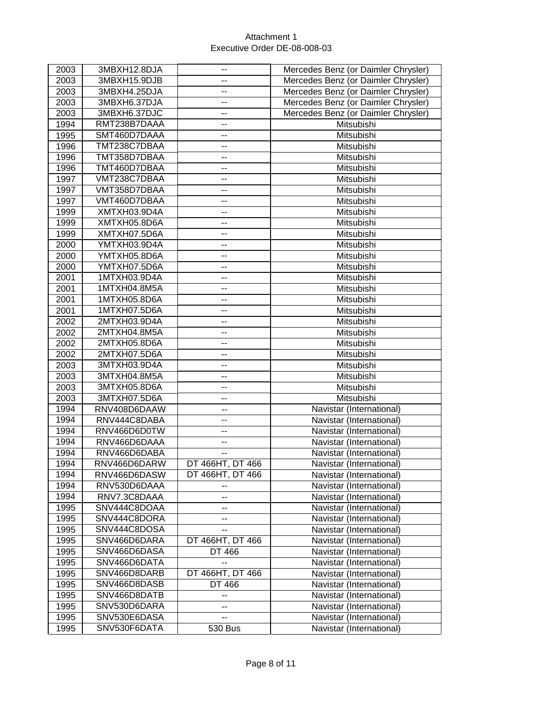| 2003 | 3MBXH12.8DJA | --               | Mercedes Benz (or Daimler Chrysler) |
|------|--------------|------------------|-------------------------------------|
| 2003 | 3MBXH15.9DJB | --               | Mercedes Benz (or Daimler Chrysler) |
| 2003 | 3MBXH4.25DJA | --               | Mercedes Benz (or Daimler Chrysler) |
| 2003 | 3MBXH6.37DJA | --               | Mercedes Benz (or Daimler Chrysler) |
| 2003 | 3MBXH6.37DJC | --               | Mercedes Benz (or Daimler Chrysler) |
| 1994 | RMT238B7DAAA | --               | Mitsubishi                          |
| 1995 | SMT460D7DAAA | --               | Mitsubishi                          |
| 1996 | TMT238C7DBAA | --               | Mitsubishi                          |
| 1996 | TMT358D7DBAA | --               | Mitsubishi                          |
| 1996 | TMT460D7DBAA | --               | Mitsubishi                          |
| 1997 | VMT238C7DBAA | --               | Mitsubishi                          |
| 1997 | VMT358D7DBAA | --               | Mitsubishi                          |
| 1997 | VMT460D7DBAA | --               | Mitsubishi                          |
| 1999 | XMTXH03.9D4A | --               | Mitsubishi                          |
| 1999 | XMTXH05.8D6A | --               | Mitsubishi                          |
|      |              |                  |                                     |
| 1999 | XMTXH07.5D6A | --               | Mitsubishi                          |
| 2000 | YMTXH03.9D4A | --               | Mitsubishi                          |
| 2000 | YMTXH05.8D6A | --               | Mitsubishi                          |
| 2000 | YMTXH07.5D6A | --               | Mitsubishi                          |
| 2001 | 1MTXH03.9D4A | --               | Mitsubishi                          |
| 2001 | 1MTXH04.8M5A | --               | Mitsubishi                          |
| 2001 | 1MTXH05.8D6A | --               | Mitsubishi                          |
| 2001 | 1MTXH07.5D6A | --               | Mitsubishi                          |
| 2002 | 2MTXH03.9D4A | $\overline{a}$   | Mitsubishi                          |
| 2002 | 2MTXH04.8M5A | --               | Mitsubishi                          |
| 2002 | 2MTXH05.8D6A | --               | Mitsubishi                          |
| 2002 | 2MTXH07.5D6A | --               | Mitsubishi                          |
| 2003 | 3MTXH03.9D4A | --               | Mitsubishi                          |
| 2003 | 3MTXH04.8M5A | $\overline{a}$   | Mitsubishi                          |
| 2003 | 3MTXH05.8D6A | --               | Mitsubishi                          |
| 2003 | 3MTXH07.5D6A | --               | Mitsubishi                          |
| 1994 | RNV408D6DAAW | --               | Navistar (International)            |
| 1994 | RNV444C8DABA | ۰.               | Navistar (International)            |
| 1994 | RNV466D6D0TW | --               | Navistar (International)            |
| 1994 | RNV466D6DAAA | --               | Navistar (International)            |
| 1994 | RNV466D6DABA | --               | Navistar (International)            |
| 1994 | RNV466D6DARW | DT 466HT, DT 466 | Navistar (International)            |
| 1994 | RNV466D6DASW | DT 466HT, DT 466 | Navistar (International)            |
| 1994 | RNV530D6DAAA | --               | Navistar (International)            |
| 1994 | RNV7.3C8DAAA | --               | Navistar (International)            |
| 1995 | SNV444C8DOAA | --               | Navistar (International)            |
| 1995 | SNV444C8DORA | --               | Navistar (International)            |
| 1995 | SNV444C8DOSA | --               | Navistar (International)            |
| 1995 | SNV466D6DARA | DT 466HT, DT 466 | Navistar (International)            |
| 1995 | SNV466D6DASA | DT 466           | Navistar (International)            |
| 1995 | SNV466D6DATA | --               | Navistar (International)            |
| 1995 | SNV466D8DARB | DT 466HT, DT 466 | Navistar (International)            |
| 1995 | SNV466D8DASB | DT 466           | Navistar (International)            |
| 1995 | SNV466D8DATB | --               | Navistar (International)            |
| 1995 | SNV530D6DARA | --               | Navistar (International)            |
| 1995 | SNV530E6DASA | --               | Navistar (International)            |
|      | SNV530F6DATA |                  | Navistar (International)            |
| 1995 |              | 530 Bus          |                                     |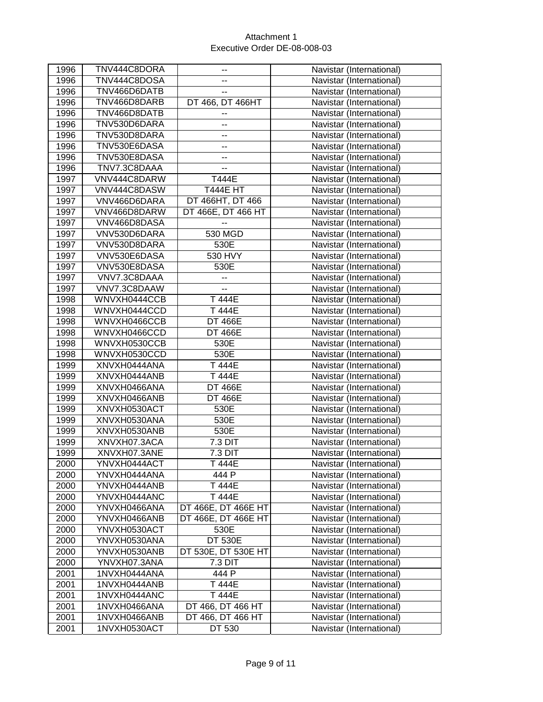| 1996 | TNV444C8DORA | ۰.                       | Navistar (International) |
|------|--------------|--------------------------|--------------------------|
| 1996 | TNV444C8DOSA |                          | Navistar (International) |
| 1996 | TNV466D6DATB | --                       | Navistar (International) |
| 1996 | TNV466D8DARB | DT 466, DT 466HT         | Navistar (International) |
| 1996 | TNV466D8DATB | ۰.                       | Navistar (International) |
| 1996 | TNV530D6DARA | ۰.                       | Navistar (International) |
| 1996 | TNV530D8DARA | -−                       | Navistar (International) |
| 1996 | TNV530E6DASA | --                       | Navistar (International) |
| 1996 | TNV530E8DASA | ۰.                       | Navistar (International) |
| 1996 | TNV7.3C8DAAA | --                       | Navistar (International) |
| 1997 | VNV444C8DARW | T444E                    | Navistar (International) |
| 1997 | VNV444C8DASW | <b>T444E HT</b>          | Navistar (International) |
| 1997 | VNV466D6DARA | DT 466HT, DT 466         | Navistar (International) |
| 1997 | VNV466D8DARW | DT 466E, DT 466 HT       | Navistar (International) |
| 1997 | VNV466D8DASA | --                       | Navistar (International) |
| 1997 | VNV530D6DARA | 530 MGD                  | Navistar (International) |
| 1997 | VNV530D8DARA | 530E                     | Navistar (International) |
| 1997 | VNV530E6DASA | 530 HVY                  | Navistar (International) |
| 1997 | VNV530E8DASA | 530E                     | Navistar (International) |
| 1997 | VNV7.3C8DAAA | --                       | Navistar (International) |
| 1997 | VNV7.3C8DAAW | $\overline{\phantom{a}}$ | Navistar (International) |
| 1998 | WNVXH0444CCB | T 444E                   | Navistar (International) |
| 1998 | WNVXH0444CCD | T 444E                   | Navistar (International) |
| 1998 | WNVXH0466CCB | <b>DT 466E</b>           | Navistar (International) |
| 1998 | WNVXH0466CCD | <b>DT 466E</b>           | Navistar (International) |
| 1998 | WNVXH0530CCB | 530E                     | Navistar (International) |
| 1998 | WNVXH0530CCD | 530E                     | Navistar (International) |
| 1999 | XNVXH0444ANA | T 444E                   | Navistar (International) |
| 1999 | XNVXH0444ANB | T 444E                   | Navistar (International) |
| 1999 | XNVXH0466ANA | <b>DT 466E</b>           | Navistar (International) |
| 1999 | XNVXH0466ANB | <b>DT 466E</b>           | Navistar (International) |
| 1999 | XNVXH0530ACT | 530E                     | Navistar (International) |
| 1999 | XNVXH0530ANA | 530E                     | Navistar (International) |
| 1999 | XNVXH0530ANB | 530E                     | Navistar (International) |
| 1999 | XNVXH07.3ACA | 7.3 DIT                  | Navistar (International) |
| 1999 | XNVXH07.3ANE | 7.3 DIT                  | Navistar (International) |
| 2000 | YNVXH0444ACT | T 444E                   | Navistar (International) |
| 2000 | YNVXH0444ANA | 444 P                    | Navistar (International) |
| 2000 | YNVXH0444ANB | T 444E                   | Navistar (International) |
| 2000 | YNVXH0444ANC | T 444E                   | Navistar (International) |
| 2000 | YNVXH0466ANA | DT 466E, DT 466E HT      | Navistar (International) |
| 2000 | YNVXH0466ANB | DT 466E, DT 466E HT      | Navistar (International) |
| 2000 | YNVXH0530ACT | 530E                     | Navistar (International) |
| 2000 | YNVXH0530ANA | <b>DT 530E</b>           | Navistar (International) |
| 2000 | YNVXH0530ANB | DT 530E, DT 530E HT      | Navistar (International) |
| 2000 | YNVXH07.3ANA | 7.3 DIT                  | Navistar (International) |
| 2001 | 1NVXH0444ANA | 444 P                    | Navistar (International) |
| 2001 | 1NVXH0444ANB | T 444E                   | Navistar (International) |
| 2001 | 1NVXH0444ANC | T 444E                   | Navistar (International) |
| 2001 | 1NVXH0466ANA | DT 466, DT 466 HT        | Navistar (International) |
| 2001 | 1NVXH0466ANB | DT 466, DT 466 HT        | Navistar (International) |
| 2001 | 1NVXH0530ACT | DT 530                   | Navistar (International) |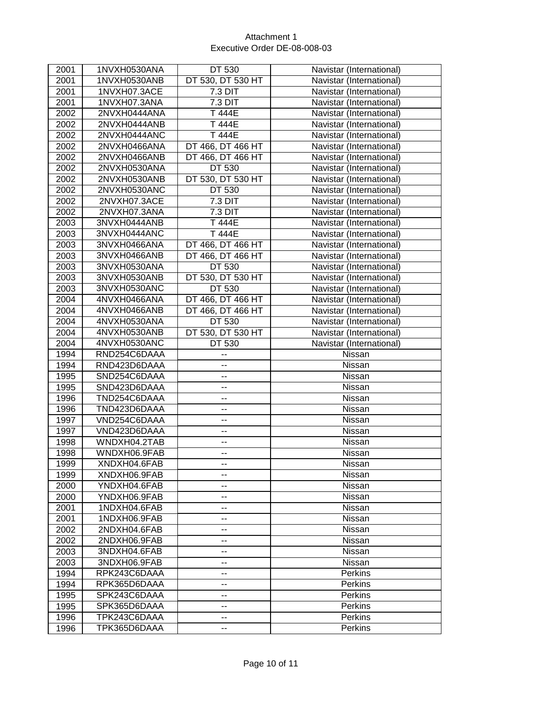| 2001 | 1NVXH0530ANA | DT 530                   | Navistar (International) |
|------|--------------|--------------------------|--------------------------|
| 2001 | 1NVXH0530ANB | DT 530, DT 530 HT        | Navistar (International) |
| 2001 | 1NVXH07.3ACE | 7.3 DIT                  | Navistar (International) |
| 2001 | 1NVXH07.3ANA | 7.3 DIT                  | Navistar (International) |
| 2002 | 2NVXH0444ANA | T 444E                   | Navistar (International) |
| 2002 | 2NVXH0444ANB | T 444E                   | Navistar (International) |
| 2002 | 2NVXH0444ANC | T 444E                   | Navistar (International) |
| 2002 | 2NVXH0466ANA | DT 466, DT 466 HT        | Navistar (International) |
| 2002 | 2NVXH0466ANB | DT 466, DT 466 HT        | Navistar (International) |
| 2002 | 2NVXH0530ANA | DT 530                   | Navistar (International) |
| 2002 | 2NVXH0530ANB | DT 530, DT 530 HT        | Navistar (International) |
| 2002 | 2NVXH0530ANC | DT 530                   | Navistar (International) |
| 2002 | 2NVXH07.3ACE | 7.3 DIT                  | Navistar (International) |
| 2002 | 2NVXH07.3ANA | 7.3 DIT                  | Navistar (International) |
| 2003 | 3NVXH0444ANB | T 444E                   | Navistar (International) |
| 2003 | 3NVXH0444ANC | T 444E                   | Navistar (International) |
| 2003 | 3NVXH0466ANA | DT 466, DT 466 HT        | Navistar (International) |
| 2003 | 3NVXH0466ANB | DT 466, DT 466 HT        | Navistar (International) |
| 2003 | 3NVXH0530ANA | DT 530                   | Navistar (International) |
| 2003 | 3NVXH0530ANB | DT 530, DT 530 HT        | Navistar (International) |
| 2003 | 3NVXH0530ANC | DT 530                   | Navistar (International) |
| 2004 | 4NVXH0466ANA | DT 466, DT 466 HT        | Navistar (International) |
| 2004 | 4NVXH0466ANB | DT 466, DT 466 HT        | Navistar (International) |
| 2004 | 4NVXH0530ANA | DT 530                   | Navistar (International) |
| 2004 | 4NVXH0530ANB | DT 530, DT 530 HT        | Navistar (International) |
| 2004 | 4NVXH0530ANC | DT 530                   | Navistar (International) |
| 1994 | RND254C6DAAA | --                       | Nissan                   |
| 1994 | RND423D6DAAA | -−                       | Nissan                   |
| 1995 | SND254C6DAAA | --                       | Nissan                   |
| 1995 | SND423D6DAAA | --                       | Nissan                   |
| 1996 | TND254C6DAAA | --                       | Nissan                   |
| 1996 | TND423D6DAAA | --                       | Nissan                   |
| 1997 | VND254C6DAAA | --                       | Nissan                   |
| 1997 | VND423D6DAAA | --                       | Nissan                   |
| 1998 | WNDXH04.2TAB | --                       | Nissan                   |
| 1998 | WNDXH06.9FAB | --                       | Nissan                   |
| 1999 | XNDXH04.6FAB | ۰.                       | Nissan                   |
| 1999 | XNDXH06.9FAB | $\overline{\phantom{a}}$ | Nissan                   |
| 2000 | YNDXH04.6FAB | --                       | Nissan                   |
| 2000 | YNDXH06.9FAB | --                       | Nissan                   |
| 2001 | 1NDXH04.6FAB | --                       | Nissan                   |
| 2001 | 1NDXH06.9FAB | --                       | Nissan                   |
| 2002 | 2NDXH04.6FAB | --                       | Nissan                   |
| 2002 | 2NDXH06.9FAB | --                       | Nissan                   |
| 2003 | 3NDXH04.6FAB | --                       | Nissan                   |
| 2003 | 3NDXH06.9FAB | --                       | Nissan                   |
| 1994 | RPK243C6DAAA | $-$                      | <b>Perkins</b>           |
| 1994 | RPK365D6DAAA | --                       | Perkins                  |
| 1995 | SPK243C6DAAA | --                       | <b>Perkins</b>           |
| 1995 | SPK365D6DAAA | $\overline{\phantom{a}}$ | <b>Perkins</b>           |
| 1996 | TPK243C6DAAA | ۰.                       | <b>Perkins</b>           |
| 1996 | TPK365D6DAAA | --                       | Perkins                  |